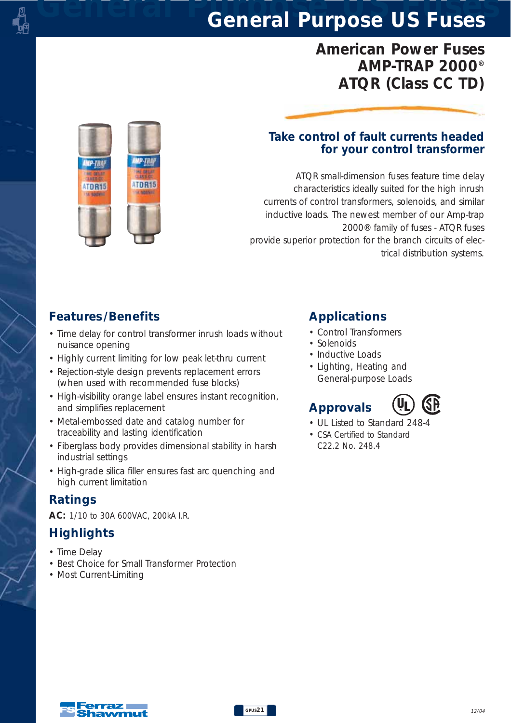## *American Power Fuses AMP-TRAP 2000® ATQR (Class CC TD)*

# ATDR15 ATDR15

#### *Take control of fault currents headed for your control transformer*

*ATQR small-dimension fuses feature time delay characteristics ideally suited for the high inrush currents of control transformers, solenoids, and similar inductive loads. The newest member of our Amp-trap 2000® family of fuses - ATQR fuses provide superior protection for the branch circuits of electrical distribution systems.*

#### *Features /Benefits*

- *Time delay for control transformer inrush loads without nuisance opening*
- *Highly current limiting for low peak let-thru current*
- *Rejection-style design prevents replacement errors (when used with recommended fuse blocks)*
- *High-visibility orange label ensures instant recognition, and simplifies replacement*
- *Metal-embossed date and catalog number for traceability and lasting identification*
- *Fiberglass body provides dimensional stability in harsh industrial settings*
- *High-grade silica filler ensures fast arc quenching and high current limitation*

#### *Ratings*

*AC: 1/10 to 30A 600VAC, 200kA I.R.*

## *Highlights*

- *Time Delay*
- *Best Choice for Small Transformer Protection*
- *Most Current-Limiting*

### *Applications*

- *Control Transformers*
- *Solenoids*
- *Inductive Loads*
- *Lighting, Heating and General-purpose Loads*

## *Approvals*



- *UL Listed to Standard 248-4*
- *CSA Certified to Standard C22.2 No. 248.4*

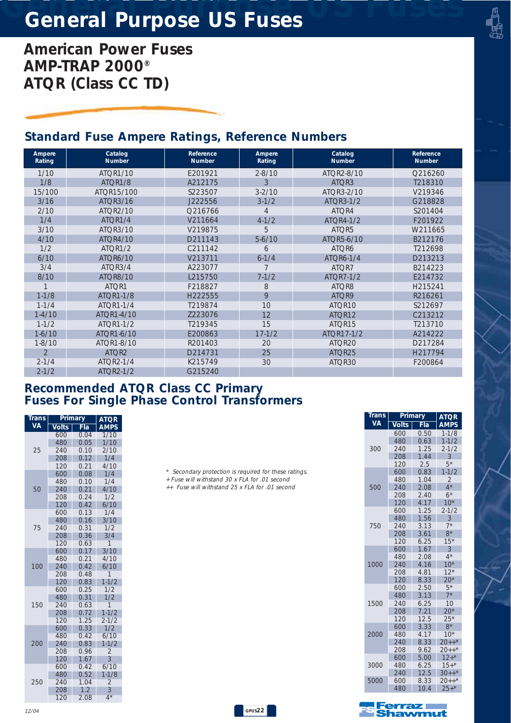*American Power Fuses AMP-TRAP 2000® ATQR (Class CC TD)*

#### *Standard Fuse Ampere Ratings, Reference Numbers*

| Ampere<br>Rating | Catalog<br><b>Number</b> | Reference<br><b>Number</b> | Ampere<br>Rating | Catalog<br><b>Number</b> | Reference<br><b>Number</b> |
|------------------|--------------------------|----------------------------|------------------|--------------------------|----------------------------|
| 1/10             | <b>ATOR1/10</b>          | F201921                    | $2 - 8/10$       | ATQR2-8/10               | Q216260                    |
| 1/8              | ATQR1/8                  | A212175                    | 3                | ATQR3                    | T218310                    |
| 15/100           | ATOR15/100               | S223507                    | $3 - 2/10$       | ATQR3-2/10               | V219346                    |
| 3/16             | ATQR3/16                 | J222556                    | $3 - 1/2$        | ATOR3-1/2                | G218828                    |
| 2/10             | ATOR2/10                 | Q216766                    | $\overline{4}$   | ATOR4                    | S201404                    |
| 1/4              | ATOR1/4                  | V211664                    | $4 - 1/2$        | ATOR4-1/2                | F201922                    |
| 3/10             | ATQR3/10                 | V219875                    | 5                | ATQR5                    | W211665                    |
| 4/10             | <b>ATOR4/10</b>          | D211143                    | $5-6/10$         | ATQR5-6/10               | B212176                    |
| 1/2              | ATOR <sub>1/2</sub>      | C211142                    | 6                | ATQR6                    | T212698                    |
| 6/10             | <b>ATOR6/10</b>          | V213711                    | $6 - 1/4$        | ATQR6-1/4                | D213213                    |
| 3/4              | ATQR3/4                  | A223077                    | 7                | ATQR7                    | B214223                    |
| 8/10             | <b>ATOR8/10</b>          | L215750                    | $7 - 1/2$        | <b>ATOR7-1/2</b>         | F214732                    |
|                  | ATOR1                    | F218827                    | 8                | ATOR8                    | H215241                    |
| $1 - 1/8$        | <b>ATOR1-1/8</b>         | H222555                    | 9                | ATQR9                    | R216261                    |
| $1 - 1/4$        | ATOR1-1/4                | T219874                    | 10               | ATOR <sub>10</sub>       | S212697                    |
| $1 - 4/10$       | ATOR1-4/10               | Z223076                    | 12               | ATOR <sub>12</sub>       | C213212                    |
| $1 - 1/2$        | ATOR1-1/2                | T219345                    | 15               | ATOR <sub>15</sub>       | T213710                    |
| $1-6/10$         | ATQR1-6/10               | E200863                    | $17 - 1/2$       | ATOR17-1/2               | A214222                    |
| $1 - 8/10$       | ATOR1-8/10               | R201403                    | 20               | ATOR <sub>20</sub>       | D217284                    |
| $\overline{2}$   | ATQR2                    | D214731                    | 25               | ATOR <sub>25</sub>       | H217794                    |
| $2 - 1/4$        | ATOR2-1/4                | K215749                    | 30               | ATOR30                   | F200864                    |
| $2 - 1/2$        | ATOR2-1/2                | G215240                    |                  |                          |                            |

#### *Recommended ATQR Class CC Primary Fuses For Single Phase Control Transformers*

| Trans     | <u>Primary</u> | <b>ATQR</b> |                  |
|-----------|----------------|-------------|------------------|
| <b>VA</b> | <b>Volts</b>   | Fla         | <b>AMPS</b>      |
|           | 600            | 0.04        | 1/10             |
|           | 480            | 0.05        | 1/10             |
| 25        | 240            | 0.10        | 2/10             |
|           | 208            | 0.12        | 1/4              |
|           | 120            | 0.21        | 4/10             |
|           | 600            | 0.08        | 1/4              |
|           | 480            | 0.10        | 1/4              |
| 50        | 240            | 0.21        | 4/10             |
|           | 208            | 0.24        | 1/2              |
|           | 120            | 0.42        | 6/10             |
|           | 600            | 0.13        | 1/4              |
|           | 480            | 0.16        | 3/10             |
| 75        | 240            | 0.31        | 1/2              |
|           | 208            | 0.36        | 3/4              |
|           | 120            | 0.63        | 1                |
|           | 600            | 0.17        | 3/10             |
|           | 480            | 0.21        | 4/10             |
| 100       | 240            | 0.42        | 6/10             |
|           | 208            | 0.48        | $\overline{1}$   |
|           | 120            | 0.83        | $1 - 1/2$        |
|           | 600            | 0.25        | 1/2              |
|           | 480            | 0.31        | 1/2              |
| 150       | 240            | 0.63        | 1                |
|           | 208            | 0.72        | $1 - 1/2$        |
|           | 120            | 1.25        | $2 - 1/2$        |
|           | 600            | 0.33        | 1/2              |
|           | 480            | 0.42        | 6/10             |
| 200       | 240            | 0.83        | $1 - 1/2$        |
|           | 208            | 0.96        | $\overline{2}$   |
|           | 120            | 1.67        | $\overline{3}$   |
|           | 600            | 0.42        | 6/10             |
|           | 480            | 0.52        | $1 - 1/8$        |
| 250       | 240            | 1.04        | $\overline{c}$   |
|           | 208            | 1.2         | 3                |
|           | 120            | 2.08        | $\overline{4}^*$ |

*\* Secondary protection is required for these ratings.*

- *+ Fuse will withstand 30 x FLA for .01 second*
- *++ Fuse will withstand 25 x FLA for .01 second*

*GPUS22*

| Trans | Primary      | <b>ATOR</b> |                          |
|-------|--------------|-------------|--------------------------|
| VA    | <b>Volts</b> | Fla         | <b>AMPS</b>              |
|       | 600          | 0.50        | $1 - 1/8$                |
|       | 480          | 0.63        | $1 - 1/2$                |
| 300   | 240          | 1.25        | $2 - 1/2$                |
|       | 208          | 1.44        | $\overline{\mathcal{E}}$ |
|       | 120          | 2.5         | $5*$                     |
|       | 600          | 0.83        | $1 - 1/2$                |
|       | 480          | 1.04        | $\overline{\mathcal{L}}$ |
| 500   | 240          | 2.08        | $4*$                     |
|       | 208          | 2.40        | $6*$                     |
|       | 120          | 4.17        | $10*$                    |
|       | 600          | 1.25        | $2 - 1/2$                |
|       | 480          | 1.56        | 3                        |
| 750   | 240          | 3.13        | $7*$                     |
|       | 208          | 3.61        | $8*$                     |
|       | 120          | 6.25        | $15*$                    |
|       | 600          | 1.67        | 3                        |
|       | 480          | 2.08        | $4^{\star}$              |
| 1000  | 240          | 4.16        | $10*$                    |
|       | 208          | 4.81        | $12*$                    |
|       | 120          | 8.33        | $20*$                    |
|       | 600          | 2.50        | $5*$                     |
|       | 480          | 3.13        | $7*$                     |
| 1500  | 240          | 6.25        | 10                       |
|       | 208          | 7.21        | $20*$                    |
|       | 120          | 12.5        | $25*$                    |
|       | 600          | 3.33        | $8*$                     |
| 2000  | 480          | 4.17        | $10*$                    |
|       | 240          | 8.33        | $20++$ *                 |
|       | 208          | 9.62        | $20++$ *                 |
|       | 600          | 5.00        | $12+$ *                  |
| 3000  | 480          | 6.25        | $15+$ *                  |
|       | 240          | 12.5        | $30++$ *                 |
| 5000  | 600          | 8.33        | $20++$ *                 |
|       | 480          | 10.4        | $25+*$                   |

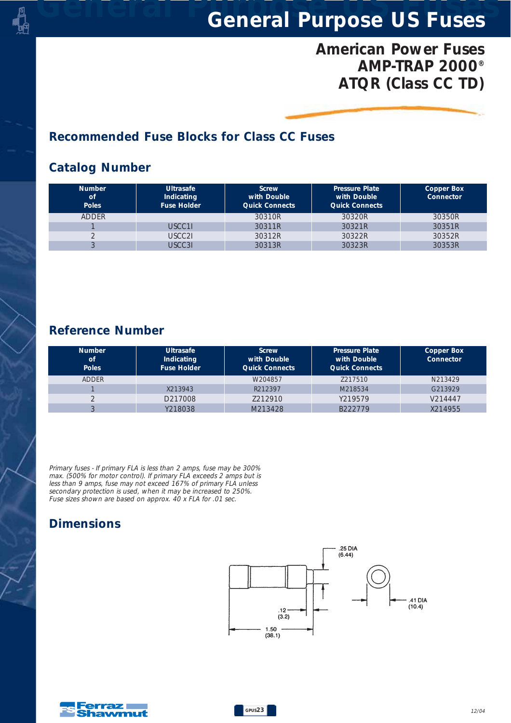## *American Power Fuses AMP-TRAP 2000® ATQR (Class CC TD)*

#### *Recommended Fuse Blocks for Class CC Fuses*

#### *Catalog Number*

| <b>Number</b><br><b>of</b><br><b>Poles</b> | <b>Ultrasafe</b><br>Indicating<br><b>Fuse Holder</b> | <b>Screw</b><br>with Double<br><b>Quick Connects</b> | <b>Pressure Plate</b><br>with Double<br><b>Quick Connects</b> | Copper Box<br>Connector |
|--------------------------------------------|------------------------------------------------------|------------------------------------------------------|---------------------------------------------------------------|-------------------------|
| <b>ADDER</b>                               |                                                      | 30310R                                               | 30320R                                                        | 30350R                  |
|                                            | USCC11                                               | 30311R                                               | 30321R                                                        | 30351R                  |
|                                            | USCC2I                                               | 30312R                                               | 30322R                                                        | 30352R                  |
|                                            | <b>JSCC31</b>                                        | 30313R                                               | 30323R                                                        | 30353R                  |

#### *Reference Number*

| <b>Number</b><br>of<br><b>Poles</b> | <b>Ultrasafe</b><br>Indicating<br><b>Fuse Holder</b> | <b>Screw</b><br>with Double<br><b>Quick Connects</b> | <b>Pressure Plate</b><br>with Double<br><b>Quick Connects</b> | Copper Box<br><b>Connector</b> |
|-------------------------------------|------------------------------------------------------|------------------------------------------------------|---------------------------------------------------------------|--------------------------------|
| <b>ADDER</b>                        |                                                      | W204857                                              | 7217510                                                       | N213429                        |
|                                     | X213943                                              | R212397                                              | M218534                                                       | G213929                        |
|                                     | D217008                                              | 7212910                                              | Y219579                                                       | V214447                        |
|                                     | Y218038                                              | M213428                                              | B222779                                                       | X214955                        |

*Primary fuses - If primary FLA is less than 2 amps, fuse may be 300% max. (500% for motor control). If primary FLA exceeds 2 amps but is less than 9 amps, fuse may not exceed 167% of primary FLA unless secondary protection is used, when it may be increased to 250%. Fuse sizes shown are based on approx. 40 x FLA for .01 sec.*

#### *Dimensions*